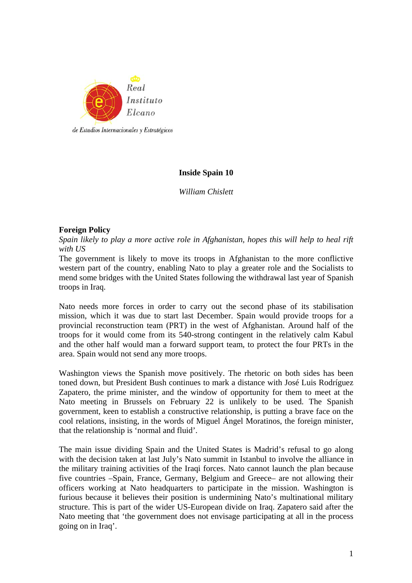

# **Inside Spain 10**

*William Chislett* 

# **Foreign Policy**

*Spain likely to play a more active role in Afghanistan, hopes this will help to heal rift with US* 

The government is likely to move its troops in Afghanistan to the more conflictive western part of the country, enabling Nato to play a greater role and the Socialists to mend some bridges with the United States following the withdrawal last year of Spanish troops in Iraq.

Nato needs more forces in order to carry out the second phase of its stabilisation mission, which it was due to start last December. Spain would provide troops for a provincial reconstruction team (PRT) in the west of Afghanistan. Around half of the troops for it would come from its 540-strong contingent in the relatively calm Kabul and the other half would man a forward support team, to protect the four PRTs in the area. Spain would not send any more troops.

Washington views the Spanish move positively. The rhetoric on both sides has been toned down, but President Bush continues to mark a distance with José Luis Rodríguez Zapatero, the prime minister, and the window of opportunity for them to meet at the Nato meeting in Brussels on February 22 is unlikely to be used. The Spanish government, keen to establish a constructive relationship, is putting a brave face on the cool relations, insisting, in the words of Miguel Ángel Moratinos, the foreign minister, that the relationship is 'normal and fluid'.

The main issue dividing Spain and the United States is Madrid's refusal to go along with the decision taken at last July's Nato summit in Istanbul to involve the alliance in the military training activities of the Iraqi forces. Nato cannot launch the plan because five countries –Spain, France, Germany, Belgium and Greece– are not allowing their officers working at Nato headquarters to participate in the mission. Washington is furious because it believes their position is undermining Nato's multinational military structure. This is part of the wider US-European divide on Iraq. Zapatero said after the Nato meeting that 'the government does not envisage participating at all in the process going on in Iraq'.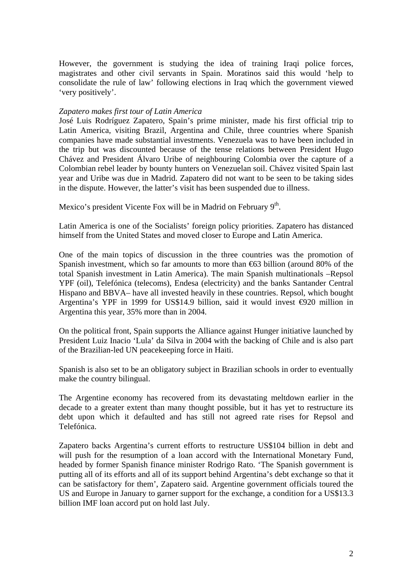However, the government is studying the idea of training Iraqi police forces, magistrates and other civil servants in Spain. Moratinos said this would 'help to consolidate the rule of law' following elections in Iraq which the government viewed 'very positively'.

### *Zapatero makes first tour of Latin America*

José Luis Rodríguez Zapatero, Spain's prime minister, made his first official trip to Latin America, visiting Brazil, Argentina and Chile, three countries where Spanish companies have made substantial investments. Venezuela was to have been included in the trip but was discounted because of the tense relations between President Hugo Chávez and President Álvaro Uribe of neighbouring Colombia over the capture of a Colombian rebel leader by bounty hunters on Venezuelan soil. Chávez visited Spain last year and Uribe was due in Madrid. Zapatero did not want to be seen to be taking sides in the dispute. However, the latter's visit has been suspended due to illness.

Mexico's president Vicente Fox will be in Madrid on February 9<sup>th</sup>.

Latin America is one of the Socialists' foreign policy priorities. Zapatero has distanced himself from the United States and moved closer to Europe and Latin America.

One of the main topics of discussion in the three countries was the promotion of Spanish investment, which so far amounts to more than  $63$  billion (around 80% of the total Spanish investment in Latin America). The main Spanish multinationals –Repsol YPF (oil), Telefónica (telecoms), Endesa (electricity) and the banks Santander Central Hispano and BBVA– have all invested heavily in these countries. Repsol, which bought Argentina's YPF in 1999 for US\$14.9 billion, said it would invest €920 million in Argentina this year, 35% more than in 2004.

On the political front, Spain supports the Alliance against Hunger initiative launched by President Luiz Inacio 'Lula' da Silva in 2004 with the backing of Chile and is also part of the Brazilian-led UN peacekeeping force in Haiti.

Spanish is also set to be an obligatory subject in Brazilian schools in order to eventually make the country bilingual.

The Argentine economy has recovered from its devastating meltdown earlier in the decade to a greater extent than many thought possible, but it has yet to restructure its debt upon which it defaulted and has still not agreed rate rises for Repsol and Telefónica.

Zapatero backs Argentina's current efforts to restructure US\$104 billion in debt and will push for the resumption of a loan accord with the International Monetary Fund, headed by former Spanish finance minister Rodrigo Rato. 'The Spanish government is putting all of its efforts and all of its support behind Argentina's debt exchange so that it can be satisfactory for them', Zapatero said. Argentine government officials toured the US and Europe in January to garner support for the exchange, a condition for a US\$13.3 billion IMF loan accord put on hold last July.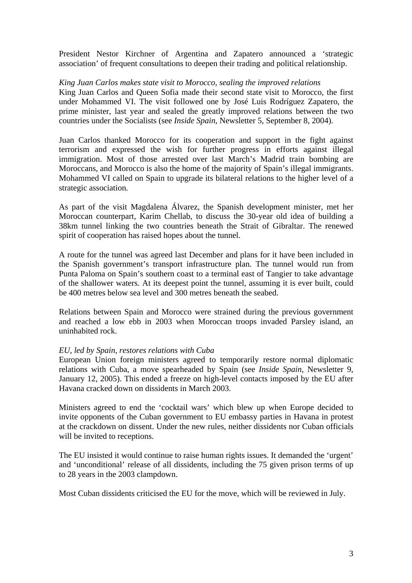President Nestor Kirchner of Argentina and Zapatero announced a 'strategic association' of frequent consultations to deepen their trading and political relationship.

# *King Juan Carlos makes state visit to Morocco, sealing the improved relations*

King Juan Carlos and Queen Sofia made their second state visit to Morocco, the first under Mohammed VI. The visit followed one by José Luis Rodríguez Zapatero, the prime minister, last year and sealed the greatly improved relations between the two countries under the Socialists (see *Inside Spain*, Newsletter 5, September 8, 2004).

Juan Carlos thanked Morocco for its cooperation and support in the fight against terrorism and expressed the wish for further progress in efforts against illegal immigration. Most of those arrested over last March's Madrid train bombing are Moroccans, and Morocco is also the home of the majority of Spain's illegal immigrants. Mohammed VI called on Spain to upgrade its bilateral relations to the higher level of a strategic association.

As part of the visit Magdalena Álvarez, the Spanish development minister, met her Moroccan counterpart, Karim Chellab, to discuss the 30-year old idea of building a 38km tunnel linking the two countries beneath the Strait of Gibraltar. The renewed spirit of cooperation has raised hopes about the tunnel.

A route for the tunnel was agreed last December and plans for it have been included in the Spanish government's transport infrastructure plan. The tunnel would run from Punta Paloma on Spain's southern coast to a terminal east of Tangier to take advantage of the shallower waters. At its deepest point the tunnel, assuming it is ever built, could be 400 metres below sea level and 300 metres beneath the seabed.

Relations between Spain and Morocco were strained during the previous government and reached a low ebb in 2003 when Moroccan troops invaded Parsley island, an uninhabited rock.

### *EU, led by Spain, restores relations with Cuba*

European Union foreign ministers agreed to temporarily restore normal diplomatic relations with Cuba, a move spearheaded by Spain (see *Inside Spain*, Newsletter 9, January 12, 2005). This ended a freeze on high-level contacts imposed by the EU after Havana cracked down on dissidents in March 2003.

Ministers agreed to end the 'cocktail wars' which blew up when Europe decided to invite opponents of the Cuban government to EU embassy parties in Havana in protest at the crackdown on dissent. Under the new rules, neither dissidents nor Cuban officials will be invited to receptions.

The EU insisted it would continue to raise human rights issues. It demanded the 'urgent' and 'unconditional' release of all dissidents, including the 75 given prison terms of up to 28 years in the 2003 clampdown.

Most Cuban dissidents criticised the EU for the move, which will be reviewed in July.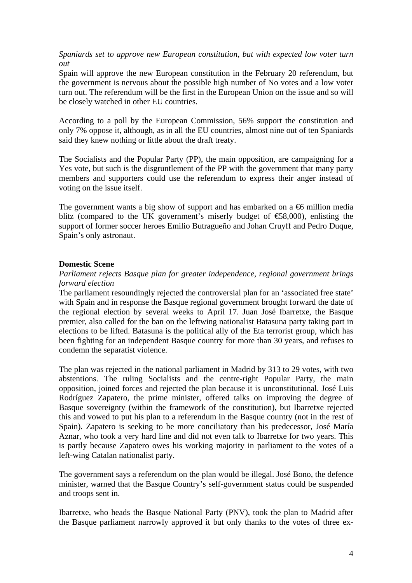*Spaniards set to approve new European constitution, but with expected low voter turn out* 

Spain will approve the new European constitution in the February 20 referendum, but the government is nervous about the possible high number of No votes and a low voter turn out. The referendum will be the first in the European Union on the issue and so will be closely watched in other EU countries.

According to a poll by the European Commission, 56% support the constitution and only 7% oppose it, although, as in all the EU countries, almost nine out of ten Spaniards said they knew nothing or little about the draft treaty.

The Socialists and the Popular Party (PP), the main opposition, are campaigning for a Yes vote, but such is the disgruntlement of the PP with the government that many party members and supporters could use the referendum to express their anger instead of voting on the issue itself.

The government wants a big show of support and has embarked on a  $\epsilon$ 6 million media blitz (compared to the UK government's miserly budget of  $\epsilon$ 58,000), enlisting the support of former soccer heroes Emilio Butragueño and Johan Cruyff and Pedro Duque, Spain's only astronaut.

### **Domestic Scene**

# *Parliament rejects Basque plan for greater independence, regional government brings forward election*

The parliament resoundingly rejected the controversial plan for an 'associated free state' with Spain and in response the Basque regional government brought forward the date of the regional election by several weeks to April 17. Juan José Ibarretxe, the Basque premier, also called for the ban on the leftwing nationalist Batasuna party taking part in elections to be lifted. Batasuna is the political ally of the Eta terrorist group, which has been fighting for an independent Basque country for more than 30 years, and refuses to condemn the separatist violence.

The plan was rejected in the national parliament in Madrid by 313 to 29 votes, with two abstentions. The ruling Socialists and the centre-right Popular Party, the main opposition, joined forces and rejected the plan because it is unconstitutional. José Luis Rodríguez Zapatero, the prime minister, offered talks on improving the degree of Basque sovereignty (within the framework of the constitution), but Ibarretxe rejected this and vowed to put his plan to a referendum in the Basque country (not in the rest of Spain). Zapatero is seeking to be more conciliatory than his predecessor, José María Aznar, who took a very hard line and did not even talk to Ibarretxe for two years. This is partly because Zapatero owes his working majority in parliament to the votes of a left-wing Catalan nationalist party.

The government says a referendum on the plan would be illegal. José Bono, the defence minister, warned that the Basque Country's self-government status could be suspended and troops sent in.

Ibarretxe, who heads the Basque National Party (PNV), took the plan to Madrid after the Basque parliament narrowly approved it but only thanks to the votes of three ex-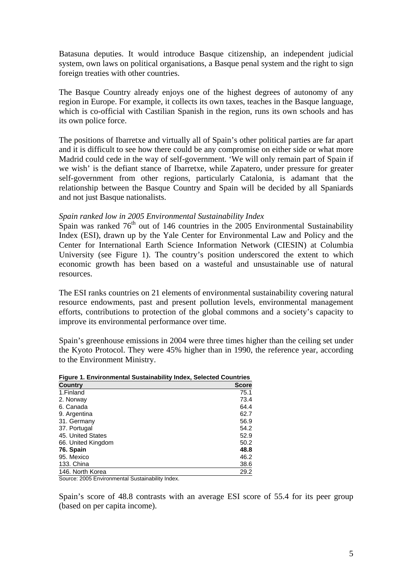Batasuna deputies. It would introduce Basque citizenship, an independent judicial system, own laws on political organisations, a Basque penal system and the right to sign foreign treaties with other countries.

The Basque Country already enjoys one of the highest degrees of autonomy of any region in Europe. For example, it collects its own taxes, teaches in the Basque language, which is co-official with Castilian Spanish in the region, runs its own schools and has its own police force.

The positions of Ibarretxe and virtually all of Spain's other political parties are far apart and it is difficult to see how there could be any compromise on either side or what more Madrid could cede in the way of self-government. 'We will only remain part of Spain if we wish' is the defiant stance of Ibarretxe, while Zapatero, under pressure for greater self-government from other regions, particularly Catalonia, is adamant that the relationship between the Basque Country and Spain will be decided by all Spaniards and not just Basque nationalists.

### *Spain ranked low in 2005 Environmental Sustainability Index*

 $\overrightarrow{S}$ pain was ranked 76<sup>th</sup> out of 146 countries in the 2005 Environmental Sustainability Index (ESI), drawn up by the Yale Center for Environmental Law and Policy and the Center for International Earth Science Information Network (CIESIN) at Columbia University (see Figure 1). The country's position underscored the extent to which economic growth has been based on a wasteful and unsustainable use of natural resources.

The ESI ranks countries on 21 elements of environmental sustainability covering natural resource endowments, past and present pollution levels, environmental management efforts, contributions to protection of the global commons and a society's capacity to improve its environmental performance over time.

Spain's greenhouse emissions in 2004 were three times higher than the ceiling set under the Kyoto Protocol. They were 45% higher than in 1990, the reference year, according to the Environment Ministry.

| <b>Figure 1. Environmental Sustainability Index, Selected Countries</b> |              |  |
|-------------------------------------------------------------------------|--------------|--|
| <b>Country</b>                                                          | <b>Score</b> |  |
| 1.Finland                                                               | 75.1         |  |
| 2. Norway                                                               | 73.4         |  |
| 6. Canada                                                               | 64.4         |  |
| 9. Argentina                                                            | 62.7         |  |
| 31. Germany                                                             | 56.9         |  |
| 37. Portugal                                                            | 54.2         |  |
| 45. United States                                                       | 52.9         |  |
| 66. United Kingdom                                                      | 50.2         |  |
| 76. Spain                                                               | 48.8         |  |
| 95. Mexico                                                              | 46.2         |  |
| 133. China                                                              | 38.6         |  |
| 146. North Korea                                                        | 29.2         |  |

Source: 2005 Environmental Sustainability Index.

Spain's score of 48.8 contrasts with an average ESI score of 55.4 for its peer group (based on per capita income).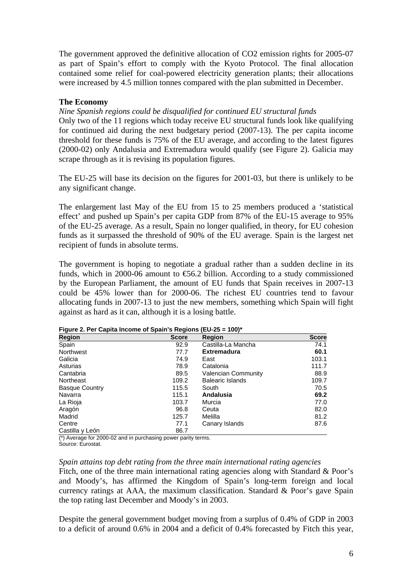The government approved the definitive allocation of CO2 emission rights for 2005-07 as part of Spain's effort to comply with the Kyoto Protocol. The final allocation contained some relief for coal-powered electricity generation plants; their allocations were increased by 4.5 million tonnes compared with the plan submitted in December.

### **The Economy**

*Nine Spanish regions could be disqualified for continued EU structural funds* 

Only two of the 11 regions which today receive EU structural funds look like qualifying for continued aid during the next budgetary period (2007-13). The per capita income threshold for these funds is 75% of the EU average, and according to the latest figures (2000-02) only Andalusia and Extremadura would qualify (see Figure 2). Galicia may scrape through as it is revising its population figures.

The EU-25 will base its decision on the figures for 2001-03, but there is unlikely to be any significant change.

The enlargement last May of the EU from 15 to 25 members produced a 'statistical effect' and pushed up Spain's per capita GDP from 87% of the EU-15 average to 95% of the EU-25 average. As a result, Spain no longer qualified, in theory, for EU cohesion funds as it surpassed the threshold of 90% of the EU average. Spain is the largest net recipient of funds in absolute terms.

The government is hoping to negotiate a gradual rather than a sudden decline in its funds, which in 2000-06 amount to  $\epsilon$ 6.2 billion. According to a study commissioned by the European Parliament, the amount of EU funds that Spain receives in 2007-13 could be 45% lower than for 2000-06. The richest EU countries tend to favour allocating funds in 2007-13 to just the new members, something which Spain will fight against as hard as it can, although it is a losing battle.

| ັ<br><b>Region</b>    | <b>Score</b> | <b>Region</b>              | <b>Score</b> |
|-----------------------|--------------|----------------------------|--------------|
| Spain                 | 92.9         | Castilla-La Mancha         | 74.1         |
| Northwest             | 77.7         | <b>Extremadura</b>         | 60.1         |
| Galicia               | 74.9         | East                       | 103.1        |
| Asturias              | 78.9         | Catalonia                  | 111.7        |
| Cantabria             | 89.5         | <b>Valencian Community</b> | 88.9         |
| Northeast             | 109.2        | <b>Balearic Islands</b>    | 109.7        |
| <b>Basque Country</b> | 115.5        | South                      | 70.5         |
| Navarra               | 115.1        | Andalusia                  | 69.2         |
| La Rioja              | 103.7        | Murcia                     | 77.0         |
| Aragón                | 96.8         | Ceuta                      | 82.0         |
| Madrid                | 125.7        | Melilla                    | 81.2         |
| Centre                | 77.1         | Canary Islands             | 87.6         |
| Castilla y León       | 86.7         |                            |              |

**Figure 2. Per Capita Income of Spain's Regions (EU-25 = 100)\*** 

(\*) Average for 2000-02 and in purchasing power parity terms.

Source: Eurostat.

### *Spain attains top debt rating from the three main international rating agencies*

Fitch, one of the three main international rating agencies along with Standard & Poor's and Moody's, has affirmed the Kingdom of Spain's long-term foreign and local currency ratings at AAA, the maximum classification. Standard & Poor's gave Spain the top rating last December and Moody's in 2003.

Despite the general government budget moving from a surplus of 0.4% of GDP in 2003 to a deficit of around 0.6% in 2004 and a deficit of 0.4% forecasted by Fitch this year,